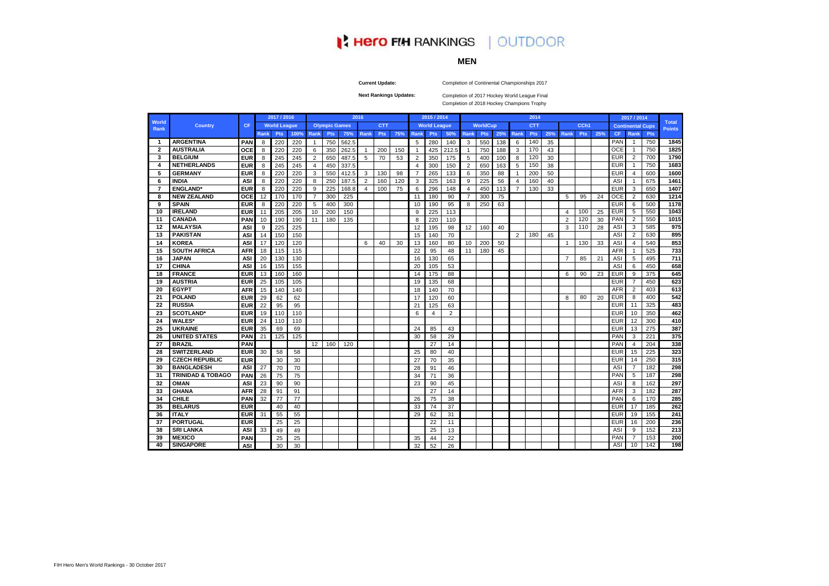**Current Update:**

**Next Rankings Updates:** 

|                |                              |            |      | 2017 / 2016         |      |                |                      |       | 2016           |            |     |                         | 2015 / 2014         |                |                |                 |     |                | 2014       |     |                |            |     |            | 2017 / 2014             |            |                               |
|----------------|------------------------------|------------|------|---------------------|------|----------------|----------------------|-------|----------------|------------|-----|-------------------------|---------------------|----------------|----------------|-----------------|-----|----------------|------------|-----|----------------|------------|-----|------------|-------------------------|------------|-------------------------------|
| World<br>Rank  | <b>Country</b>               | <b>CF</b>  |      | <b>World League</b> |      |                | <b>Olympic Games</b> |       |                | <b>CTT</b> |     |                         | <b>World League</b> |                |                | <b>WorldCup</b> |     |                | <b>CTT</b> |     |                | CCh1       |     |            | <b>Continental Cups</b> |            | <b>Total</b><br><b>Points</b> |
|                |                              |            | Rank | Pts                 | 100% | Rank           | <b>Pts</b>           | 75%   | Rank           | <b>Pts</b> | 75% | Rank                    | <b>Pts</b>          | 50%            | Rank           | <b>Pts</b>      | 25% | Rank           | <b>Pts</b> | 25% | Rank           | <b>Pts</b> | 25% | <b>CF</b>  | Rank                    | <b>Pts</b> |                               |
| $\mathbf 1$    | <b>ARGENTINA</b>             | <b>PAN</b> | 8    | 220                 | 220  | $\overline{1}$ | 750                  | 562.5 |                |            |     | 5                       | 280                 | 140            | 3              | 550             | 138 | 6              | 140        | 35  |                |            |     | PAN        | -1                      | 750        | 1845                          |
| $\overline{2}$ | <b>AUSTRALIA</b>             | <b>OCE</b> | 8    | 220                 | 220  | 6              | 350                  | 262.5 | $\overline{1}$ | 200        | 150 | $\overline{\mathbf{1}}$ | 425                 | 212.5          |                | 750             | 188 | 3              | 170        | 43  |                |            |     | <b>OCE</b> | $\overline{1}$          | 750        | 1825                          |
| 3              | <b>BELGIUM</b>               | <b>EUR</b> | 8    | 245                 | 245  | $\overline{2}$ | 650                  | 487.5 | 5              | 70         | 53  | $\overline{2}$          | 350                 | 175            | 5              | 400             | 100 | 8              | 120        | 30  |                |            |     | <b>EUR</b> | 2                       | 700        | 1790                          |
| 4              | <b>NETHERLANDS</b>           | <b>EUR</b> | 8    | 245                 | 245  | 4              | 450                  | 337.5 |                |            |     | $\overline{4}$          | 300                 | 150            | 2              | 650             | 163 | 5              | 150        | 38  |                |            |     | <b>EUR</b> | $\overline{1}$          | 750        | 1683                          |
| 5              | <b>GERMANY</b>               | <b>EUR</b> | 8    | 220                 | 220  | 3              | 550                  | 412.5 | 3              | 130        | 98  | 7                       | 265                 | 133            | 6              | 350             | 88  |                | 200        | 50  |                |            |     | <b>EUR</b> | $\overline{4}$          | 600        | 1600                          |
| 6              | <b>INDIA</b>                 | <b>ASI</b> | 8    | 220                 | 220  | 8              | 250                  | 187.5 | 2              | 160        | 120 | 3                       | 325                 | 163            | 9              | 225             | 56  | $\overline{4}$ | 160        | 40  |                |            |     | ASI        | $\mathbf 1$             | 675        | 1461                          |
| 7              | <b>ENGLAND</b> *             | <b>EUR</b> | 8    | 220                 | 220  | 9              | 225                  | 168.8 | $\overline{4}$ | 100        | 75  | 6                       | 296                 | 148            | 4              | 450             | 113 | 7              | 130        | 33  |                |            |     | <b>EUR</b> | 3                       | 650        | 1407                          |
| 8              | <b>NEW ZEALAND</b>           | <b>OCE</b> | 12   | 170                 | 170  | $\overline{7}$ | 300                  | 225   |                |            |     | 11                      | 180                 | 90             | $\overline{7}$ | 300             | 75  |                |            |     | 5              | 95         | 24  | <b>OCE</b> | 2                       | 630        | 1214                          |
| 9              | <b>SPAIN</b>                 | <b>EUR</b> | 8    | 220                 | 220  | 5              | 40 <sub>C</sub>      | 300   |                |            |     | 10                      | 190                 | 95             | 8              | 250             | 63  |                |            |     |                |            |     | <b>EUR</b> | 6                       | 500        | 1178                          |
| 10             | <b>IRELAND</b>               | <b>EUR</b> | 11   | 205                 | 205  | 10             | 200                  | 150   |                |            |     | 9                       | 225                 | 113            |                |                 |     |                |            |     | $\overline{4}$ | 100        | 25  | <b>EUR</b> | 5                       | 550        | 1043                          |
| 11             | <b>CANADA</b>                | <b>PAN</b> | 10   | 190                 | 190  | 11             | 180                  | 135   |                |            |     | 8                       | 220                 | 110            |                |                 |     |                |            |     | $\mathcal{P}$  | 120        | 30  | <b>PAN</b> | 2                       | 550        | 1015                          |
| 12             | <b>MALAYSIA</b>              | <b>ASI</b> | 9    | 225                 | 225  |                |                      |       |                |            |     | 12                      | 195                 | 98             | 12             | 160             | 40  |                |            |     | 3              | 110        | 28  | ASI        | 3                       | 585        | 975                           |
| 13             | <b>PAKISTAN</b>              | <b>ASI</b> | 14   | 150                 | 150  |                |                      |       |                |            |     | 15                      | 140                 | 70             |                |                 |     | $\overline{2}$ | 180        | 45  |                |            |     | ASI        | 2                       | 630        | 895                           |
| 14             | <b>KOREA</b>                 | <b>ASI</b> | 17   | 120                 | 120  |                |                      |       | 6              | 40         | 30  | 13                      | 160                 | 80             | 10             | 200             | 50  |                |            |     | -1             | 130        | 33  | ASI        | 4                       | 540        | 853                           |
| 15             | <b>SOUTH AFRICA</b>          | <b>AFR</b> | 18   | 115                 | 115  |                |                      |       |                |            |     | 22                      | 95                  | 48             | 11             | 180             | 45  |                |            |     |                |            |     | <b>AFR</b> | $\overline{1}$          | 525        | 733                           |
| 16             | <b>JAPAN</b>                 | <b>ASI</b> | 20   | 130                 | 130  |                |                      |       |                |            |     | 16                      | 130                 | 65             |                |                 |     |                |            |     | $\overline{7}$ | 85         | 21  | ASI        | 5                       | 495        | 711                           |
| 17             | <b>CHINA</b>                 | <b>ASI</b> | 16   | 155                 | 155  |                |                      |       |                |            |     | 20                      | 105                 | 53             |                |                 |     |                |            |     |                |            |     | <b>ASI</b> | 6                       | 450        | 658                           |
| 18             | <b>FRANCE</b>                | <b>EUR</b> | 13   | 160                 | 160  |                |                      |       |                |            |     | 14                      | 175                 | 88             |                |                 |     |                |            |     | 6              | 90         | 23  | <b>EUR</b> | 9                       | 375        | 645                           |
| 19             | <b>AUSTRIA</b>               | <b>EUR</b> | 25   | 105                 | 105  |                |                      |       |                |            |     | 19                      | 135                 | 68             |                |                 |     |                |            |     |                |            |     | <b>EUR</b> | $\overline{7}$          | 450        | 623                           |
| 20             | <b>EGYPT</b>                 | <b>AFR</b> | 15   | 140                 | 140  |                |                      |       |                |            |     | 18                      | 140                 | 70             |                |                 |     |                |            |     |                |            |     | <b>AFR</b> | 2                       | 403        | 613                           |
| 21             | <b>POLAND</b>                | <b>EUR</b> | 29   | 62                  | 62   |                |                      |       |                |            |     | 17                      | 120                 | 60             |                |                 |     |                |            |     | 8              | 80         | 20  | <b>EUR</b> | 8                       | 400        | 542                           |
| 22             | <b>RUSSIA</b>                | <b>EUR</b> | 22   | 95                  | 95   |                |                      |       |                |            |     | 21                      | 125                 | 63             |                |                 |     |                |            |     |                |            |     | <b>EUR</b> | 11                      | 325        | 483                           |
| 23             | <b>SCOTLAND*</b>             | <b>EUR</b> | 19   | 110                 | 110  |                |                      |       |                |            |     | 6                       | 4                   | $\overline{2}$ |                |                 |     |                |            |     |                |            |     | <b>EUR</b> | 10                      | 350        | 462                           |
| 24             | <b>WALES*</b>                | <b>EUR</b> | 24   | 110                 | 110  |                |                      |       |                |            |     |                         |                     |                |                |                 |     |                |            |     |                |            |     | <b>EUR</b> | 12                      | 300        | 410                           |
| 25             | <b>UKRAINE</b>               | <b>EUR</b> | 35   | 69                  | 69   |                |                      |       |                |            |     | 24                      | 85                  | 43             |                |                 |     |                |            |     |                |            |     | <b>EUR</b> | 13                      | 275        | 387                           |
| 26             | <b>UNITED STATES</b>         | <b>PAN</b> | 21   | 125                 | 125  |                |                      |       |                |            |     | 30                      | 58                  | 29             |                |                 |     |                |            |     |                |            |     | <b>PAN</b> | 3                       | 221        | 375                           |
| 27             | <b>BRAZIL</b>                | PAN        |      |                     |      | 12             | 160                  | 120   |                |            |     |                         | 27                  | 14             |                |                 |     |                |            |     |                |            |     | PAN        | 4                       | 204        | 338                           |
| 28             | <b>SWITZERLAND</b>           | <b>EUR</b> | 30   | 58                  | 58   |                |                      |       |                |            |     | 25                      | 80                  | 40             |                |                 |     |                |            |     |                |            |     | <b>EUF</b> | 15                      | 225        | 323                           |
| 29             | <b>CZECH REPUBLIC</b>        | <b>EUR</b> |      | 30                  | 30   |                |                      |       |                |            |     | 27                      | 70                  | 35             |                |                 |     |                |            |     |                |            |     | <b>EUR</b> | 14                      | 250        | 315                           |
| 30             | <b>BANGLADESH</b>            | <b>ASI</b> | 27   | 70                  | 70   |                |                      |       |                |            |     | 28                      | 91                  | 46             |                |                 |     |                |            |     |                |            |     | ASI        | $\overline{7}$          | 182        | 298                           |
| 31             | <b>TRINIDAD &amp; TOBAGO</b> | <b>PAN</b> | 26   | 75                  | 75   |                |                      |       |                |            |     | 34                      | 71                  | 36             |                |                 |     |                |            |     |                |            |     | PAN        | 5                       | 187        | 298                           |
| 32             | <b>OMAN</b>                  | <b>ASI</b> | 23   | 90                  | 90   |                |                      |       |                |            |     | 23                      | 90                  | 45             |                |                 |     |                |            |     |                |            |     | <b>AS</b>  | 8                       | 162        | 297                           |
| 33             | <b>GHANA</b>                 | <b>AFR</b> | 28   | 91                  | 91   |                |                      |       |                |            |     |                         | 27                  | 14             |                |                 |     |                |            |     |                |            |     | <b>AFR</b> | 3                       | 182        | 287                           |
| 34             | <b>CHILE</b>                 | <b>PAN</b> | 32   | 77                  | 77   |                |                      |       |                |            |     | 26                      | 75                  | 38             |                |                 |     |                |            |     |                |            |     | PAN        | 6                       | 170        | 285                           |
| 35             | <b>BELARUS</b>               | <b>EUR</b> |      | 40                  | 40   |                |                      |       |                |            |     | 33                      | 74                  | 37             |                |                 |     |                |            |     |                |            |     | <b>EUR</b> | 17                      | 185        | 262                           |
| 36             | <b>ITALY</b>                 | <b>EUR</b> | 31   | 55                  | 55   |                |                      |       |                |            |     | 29                      | 62                  | 31             |                |                 |     |                |            |     |                |            |     | <b>EUR</b> | 19                      | 155        | 241                           |
| 37             | <b>PORTUGAL</b>              | <b>EUR</b> |      | 25                  | 25   |                |                      |       |                |            |     |                         | 22                  | 11             |                |                 |     |                |            |     |                |            |     | <b>EUR</b> | 16                      | 200        | 236                           |
| 38             | <b>SRI LANKA</b>             | <b>ASI</b> | 33   | 49                  | 49   |                |                      |       |                |            |     |                         | 25                  | 13             |                |                 |     |                |            |     |                |            |     | ASI        | 9                       | 152        | 213                           |
| 39             | <b>MEXICO</b>                | <b>PAN</b> |      | 25                  | 25   |                |                      |       |                |            |     | 35                      | 44                  | 22             |                |                 |     |                |            |     |                |            |     | <b>PAN</b> | $\overline{7}$          | 153        | 200                           |
| 40             | <b>SINGAPORE</b>             | <b>ASI</b> |      | 30                  | 30   |                |                      |       |                |            |     | 32                      | 52                  | 26             |                |                 |     |                |            |     |                |            |     | ASI        | 10                      | 142        | 198                           |

## **|' Hero FIH RANKINGS | OUTDOOR**

#### **MEN**

Completion of Continental Championships 2017

Completion of 2017 Hockey World League Final Completion of 2018 Hockey Champions Trophy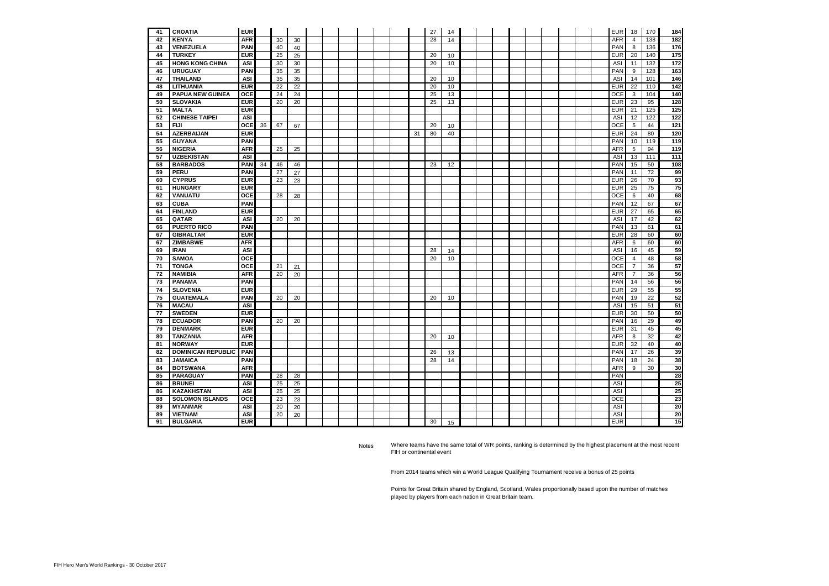| 41 | <b>CROATIA</b>            | <b>EUR</b> |    |    |    |  |  |  |    | 27 | 14 |  |  |  |  | <b>EUR</b> | 18              | 170 | 184              |
|----|---------------------------|------------|----|----|----|--|--|--|----|----|----|--|--|--|--|------------|-----------------|-----|------------------|
| 42 | <b>KENYA</b>              | <b>AFR</b> |    | 30 | 30 |  |  |  |    | 28 | 14 |  |  |  |  | <b>AFR</b> | 4               | 138 | 182              |
| 43 | <b>VENEZUELA</b>          | <b>PAN</b> |    | 40 | 40 |  |  |  |    |    |    |  |  |  |  | PAN        | 8               | 136 | 176              |
| 44 | <b>TURKEY</b>             | <b>EUR</b> |    | 25 | 25 |  |  |  |    | 20 | 10 |  |  |  |  | <b>EUR</b> | 20              | 140 | 175              |
| 45 | <b>HONG KONG CHINA</b>    | <b>ASI</b> |    | 30 | 30 |  |  |  |    | 20 | 10 |  |  |  |  | ASI        | 11              | 132 | $\frac{1}{172}$  |
| 46 | <b>URUGUAY</b>            | <b>PAN</b> |    | 35 | 35 |  |  |  |    |    |    |  |  |  |  | PAN        | 9               | 128 | 163              |
| 47 | <b>THAILAND</b>           | ASI        |    | 35 | 35 |  |  |  |    | 20 | 10 |  |  |  |  | ASI        | 14              | 101 | 146              |
| 48 | <b>LITHUANIA</b>          | <b>EUR</b> |    | 22 | 22 |  |  |  |    | 20 | 10 |  |  |  |  | <b>EUR</b> | 22              | 110 | $\frac{1}{142}$  |
| 49 | <b>PAPUA NEW GUINEA</b>   | <b>OCE</b> |    | 24 | 24 |  |  |  |    | 25 | 13 |  |  |  |  | OCE        | $\mathbf{3}$    | 104 | 140              |
| 50 | <b>SLOVAKIA</b>           | <b>EUR</b> |    | 20 | 20 |  |  |  |    | 25 | 13 |  |  |  |  | <b>EUR</b> | 23              | 95  | 128              |
| 51 | <b>MALTA</b>              | <b>EUR</b> |    |    |    |  |  |  |    |    |    |  |  |  |  | <b>EUR</b> | 21              | 125 | $\overline{125}$ |
| 52 | <b>CHINESE TAIPEI</b>     | <b>ASI</b> |    |    |    |  |  |  |    |    |    |  |  |  |  | <b>ASI</b> | 12              | 122 | $\overline{122}$ |
| 53 | <b>FIJI</b>               | <b>OCE</b> | 36 | 67 | 67 |  |  |  |    | 20 | 10 |  |  |  |  | <b>OCE</b> | $5\overline{5}$ | 44  | 121              |
| 54 | <b>AZERBAIJAN</b>         | <b>EUR</b> |    |    |    |  |  |  | 31 | 80 | 40 |  |  |  |  | <b>EUR</b> | 24              | 80  | 120              |
| 55 | <b>GUYANA</b>             | <b>PAN</b> |    |    |    |  |  |  |    |    |    |  |  |  |  | PAN        | 10              | 119 | 119              |
| 56 | <b>NIGERIA</b>            | <b>AFR</b> |    | 25 | 25 |  |  |  |    |    |    |  |  |  |  | <b>AFR</b> | 5 <sup>5</sup>  | 94  | 119              |
| 57 | <b>UZBEKISTAN</b>         | ASI        |    |    |    |  |  |  |    |    |    |  |  |  |  | ASI        | 13              | 111 | 111              |
| 58 | <b>BARBADOS</b>           | <b>PAN</b> | 34 | 46 | 46 |  |  |  |    | 23 | 12 |  |  |  |  | PAN        | 15              | 50  | 108              |
| 59 | <b>PERU</b>               | <b>PAN</b> |    | 27 | 27 |  |  |  |    |    |    |  |  |  |  | PAN        | 11              | 72  | 99               |
| 60 | <b>CYPRUS</b>             | <b>EUR</b> |    | 23 | 23 |  |  |  |    |    |    |  |  |  |  | <b>EUR</b> | 26              | 70  | 93               |
| 61 | <b>HUNGARY</b>            | <b>EUR</b> |    |    |    |  |  |  |    |    |    |  |  |  |  | <b>EUR</b> | 25              | 75  | 75               |
| 62 | <b>VANUATU</b>            | <b>OCE</b> |    | 28 | 28 |  |  |  |    |    |    |  |  |  |  | <b>OCE</b> | 6               | 40  | 68               |
| 63 | <b>CUBA</b>               | <b>PAN</b> |    |    |    |  |  |  |    |    |    |  |  |  |  | PAN        | 12              | 67  | 67               |
| 64 | <b>FINLAND</b>            | <b>EUR</b> |    |    |    |  |  |  |    |    |    |  |  |  |  | <b>EUR</b> | 27              | 65  | 65               |
| 65 | QATAR                     | ASI        |    | 20 | 20 |  |  |  |    |    |    |  |  |  |  | ASI        | 17              | 42  | 62               |
| 66 | <b>PUERTO RICO</b>        | <b>PAN</b> |    |    |    |  |  |  |    |    |    |  |  |  |  | PAN        | 13              | 61  | 61               |
| 67 | <b>GIBRALTAR</b>          | <b>EUR</b> |    |    |    |  |  |  |    |    |    |  |  |  |  | <b>EUR</b> | 28              | 60  | 60               |
| 67 | <b>ZIMBABWE</b>           | <b>AFR</b> |    |    |    |  |  |  |    |    |    |  |  |  |  | <b>AFR</b> | 6               | 60  | 60               |
| 69 | <b>IRAN</b>               | ASI        |    |    |    |  |  |  |    | 28 | 14 |  |  |  |  | ASI        | 16              | 45  | 59               |
| 70 | <b>SAMOA</b>              | <b>OCE</b> |    |    |    |  |  |  |    | 20 | 10 |  |  |  |  | OCE        | 4               | 48  | 58               |
| 71 | <b>TONGA</b>              | <b>OCE</b> |    | 21 | 21 |  |  |  |    |    |    |  |  |  |  | OCE        | $\overline{7}$  | 36  | 57               |
| 72 | <b>NAMIBIA</b>            | <b>AFR</b> |    | 20 | 20 |  |  |  |    |    |    |  |  |  |  | <b>AFR</b> | $\overline{7}$  | 36  | 56               |
| 73 | <b>PANAMA</b>             | <b>PAN</b> |    |    |    |  |  |  |    |    |    |  |  |  |  | PAN        | 14              | 56  | 56               |
| 74 | <b>SLOVENIA</b>           | <b>EUR</b> |    |    |    |  |  |  |    |    |    |  |  |  |  | <b>EUR</b> | 29              | 55  | 55               |
| 75 | <b>GUATEMALA</b>          | <b>PAN</b> |    | 20 | 20 |  |  |  |    | 20 | 10 |  |  |  |  | PAN        | 19              | 22  | 52               |
| 76 | <b>MACAU</b>              | ASI        |    |    |    |  |  |  |    |    |    |  |  |  |  | ASI        | 15              | 51  | 51               |
| 77 | <b>SWEDEN</b>             | <b>EUR</b> |    |    |    |  |  |  |    |    |    |  |  |  |  | <b>EUR</b> | 30              | 50  | 50               |
| 78 | <b>ECUADOR</b>            | <b>PAN</b> |    | 20 | 20 |  |  |  |    |    |    |  |  |  |  | PAN        | 16              | 29  | 49               |
| 79 | <b>DENMARK</b>            | <b>EUR</b> |    |    |    |  |  |  |    |    |    |  |  |  |  | <b>EUR</b> | 31              | 45  | 45               |
| 80 | <b>TANZANIA</b>           | <b>AFR</b> |    |    |    |  |  |  |    | 20 | 10 |  |  |  |  | <b>AFR</b> | 8               | 32  | 42               |
| 81 | <b>NORWAY</b>             | <b>EUR</b> |    |    |    |  |  |  |    |    |    |  |  |  |  | <b>EUR</b> | 32              | 40  | 40               |
| 82 | <b>DOMINICAN REPUBLIC</b> | <b>PAN</b> |    |    |    |  |  |  |    | 26 | 13 |  |  |  |  | PAN        | 17              | 26  | 39               |
| 83 | <b>JAMAICA</b>            | <b>PAN</b> |    |    |    |  |  |  |    | 28 | 14 |  |  |  |  | <b>PAN</b> | 18              | 24  | 38               |
| 84 | <b>BOTSWANA</b>           | <b>AFR</b> |    |    |    |  |  |  |    |    |    |  |  |  |  | AFR        | 9               | 30  | 30               |
| 85 | <b>PARAGUAY</b>           | <b>PAN</b> |    | 28 | 28 |  |  |  |    |    |    |  |  |  |  | PAN        |                 |     | 28               |
| 86 | <b>BRUNEI</b>             | <b>ASI</b> |    | 25 | 25 |  |  |  |    |    |    |  |  |  |  | ASI        |                 |     | 25               |
| 86 | <b>KAZAKHSTAN</b>         | <b>ASI</b> |    | 25 | 25 |  |  |  |    |    |    |  |  |  |  | ASI        |                 |     | 25               |
| 88 | <b>SOLOMON ISLANDS</b>    | <b>OCE</b> |    | 23 | 23 |  |  |  |    |    |    |  |  |  |  | OCE        |                 |     | 23               |
| 89 | <b>MYANMAR</b>            | <b>ASI</b> |    | 20 | 20 |  |  |  |    |    |    |  |  |  |  | ASI        |                 |     | 20               |
| 89 | <b>VIETNAM</b>            | <b>ASI</b> |    | 20 | 20 |  |  |  |    |    |    |  |  |  |  | ASI        |                 |     | 20               |
| 91 | <b>BULGARIA</b>           | EUR        |    |    |    |  |  |  |    | 30 | 15 |  |  |  |  | <b>EUR</b> |                 |     | 15               |
|    |                           |            |    |    |    |  |  |  |    |    |    |  |  |  |  |            |                 |     |                  |

Points for Great Britain shared by England, Scotland, Wales proportionally based upon the number of matches played by players from each nation in Great Britain team.

Notes Where teams have the same total of WR points, ranking is determined by the highest placement at the most recent FIH or continental event

From 2014 teams which win a World League Qualifying Tournament receive a bonus of 25 points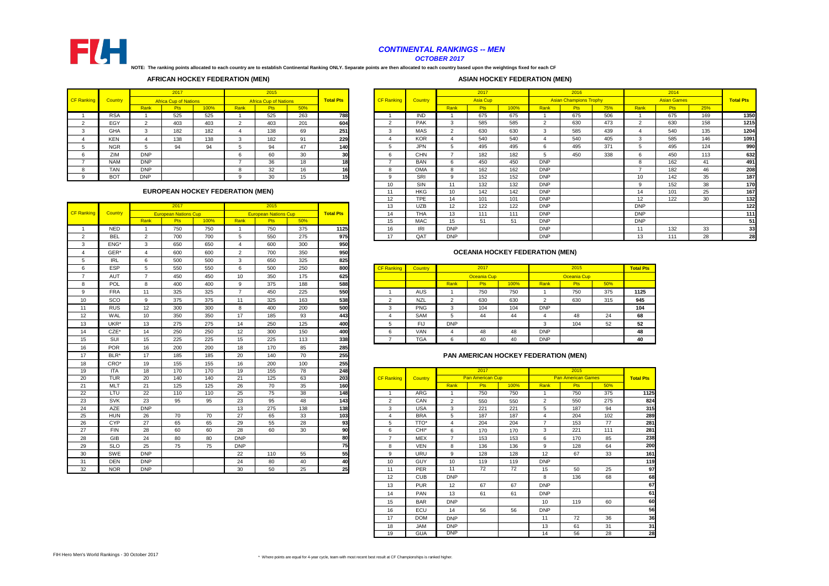|        |                |            | 2017                                    |      |      | 2015<br><b>Africa Cup of Nations</b> |     |                  |                   |            |                 | 2017            |      |            | 2016                          |     |                 | 2014               |     |                  |
|--------|----------------|------------|-----------------------------------------|------|------|--------------------------------------|-----|------------------|-------------------|------------|-----------------|-----------------|------|------------|-------------------------------|-----|-----------------|--------------------|-----|------------------|
| anking | <b>Country</b> |            | <b>Africa Cup of Nations</b>            |      |      |                                      |     | <b>Total Pts</b> | <b>CF Ranking</b> | Country    |                 | <b>Asia Cup</b> |      |            | <b>Asian Champions Trophy</b> |     |                 | <b>Asian Games</b> |     | <b>Total Pts</b> |
|        |                | Rank       | Pts                                     | 100% | Rank | <b>Pts</b>                           | 50% |                  |                   |            | Rank            | Pts             | 100% | Rank       | <b>Pts</b>                    | 75% | Rank            | <b>Pts</b>         | 25% |                  |
|        | <b>RSA</b>     |            | 525                                     | 525  |      | 525                                  | 263 | 788              |                   | <b>IND</b> |                 | 675             | 675  |            | 675                           | 506 |                 | 675                | 169 | 1350             |
|        | EGY            | $\sim$     | 403                                     | 403  |      | 403                                  | 201 | 604              | $\mathcal{P}$     | <b>PAK</b> |                 | 585             | 585  |            | 630                           | 473 |                 | 630                | 158 | 1215             |
|        | <b>GHA</b>     | $\sim$     | 182                                     | 182  |      | 138                                  | 69  | 251              | -3                | <b>MAS</b> |                 | 630             | 630  |            | 585                           | 439 |                 | 540                | 135 | 1204             |
|        | <b>KEN</b>     |            | 138                                     | 138  |      | 182                                  | 91  | 229              |                   | <b>KOR</b> |                 | 540             | 540  |            | 540                           | 405 | 3               | 585                | 146 | 1091             |
|        | <b>NGR</b>     |            | 94                                      | 94   |      | 94                                   | 47  | 140              | 5                 | <b>JPN</b> |                 | 495             | 495  | 6          | 495                           | 371 |                 | 495                | 124 | 990              |
|        | ZIM            | <b>DNP</b> |                                         |      |      | 60                                   | 30  | 30               | 6                 | <b>CHN</b> |                 | 182             | 182  |            | 450                           | 338 | 6               | 450                | 113 | 632              |
|        | <b>NAM</b>     | <b>DNP</b> |                                         |      |      | 36                                   | 18  | 18               |                   | <b>BAN</b> |                 | 450             | 450  | <b>DNP</b> |                               |     | 8               | 162                | 41  | 491              |
|        | <b>TAN</b>     | <b>DNP</b> |                                         |      |      | 32                                   | 16  | 16               | 8                 | <b>OMA</b> |                 | 162             | 162  | <b>DNP</b> |                               |     |                 | 182                | 46  | 208              |
|        | <b>BOT</b>     | <b>DNP</b> |                                         |      |      | 30                                   | 15  | 15               | <b>q</b>          | <b>SRI</b> |                 | 152             | 152  | <b>DNP</b> |                               |     | 10              | 142                | 35  | 187              |
|        |                |            |                                         |      |      |                                      |     |                  | 10                | SIN        | 11              | 132             | 132  | <b>DNP</b> |                               |     | 9               | 152                | 38  | 170              |
|        |                |            | <b>EUROPEAN HOCKEY FEDERATION (MEN)</b> |      |      |                                      |     |                  | 11                | <b>HKG</b> | 10              | 142             | 142  | <b>DNP</b> |                               |     | 14              | 101                | 25  | 167              |
|        |                |            |                                         |      |      |                                      |     |                  | $12 \overline{ }$ | <b>TPE</b> | 14              | 101             | 101  | <b>DNP</b> |                               |     | 12 <sup>2</sup> | 122                | 30  | 132              |
|        |                |            | 2017                                    |      |      | 2015                                 |     |                  | 13                | <b>UZB</b> | 12 <sup>2</sup> | 122             | 122  | <b>DNP</b> |                               |     | <b>DNP</b>      |                    |     | 122              |
| anking | <b>Country</b> |            | <b>European Nations Cup</b>             |      |      | <b>European Nations Cup</b>          |     | <b>Total Pts</b> | 14                | <b>THA</b> | 13              | 111             | 111  | <b>DNP</b> |                               |     | <b>DNP</b>      |                    |     | 111              |
|        |                | Rank       | <b>Pts</b>                              | 100% | Rank | <b>Pts</b>                           | 50% |                  | 15                | <b>MAC</b> | 15              | 51              | 51   | <b>DNP</b> |                               |     | <b>DNP</b>      |                    |     | 51               |
|        | <b>NED</b>     |            | 750                                     | 750  |      | 750                                  | 375 | 1125             | 16                | <b>IRI</b> | <b>DNP</b>      |                 |      | <b>DNP</b> |                               |     | 11              | 132                | 33  | 33               |
|        | <b>BEL</b>     |            | 700                                     | 700  |      | 550                                  | 275 | 975              | 17                | QAT        | <b>DNP</b>      |                 |      | <b>DNP</b> |                               |     | 13              | 111                | 28  | 28               |
|        |                |            |                                         |      |      |                                      |     |                  |                   |            |                 |                 |      |            |                               |     |                 |                    |     |                  |

|   | $\sim$ $\sim$ | $\overline{\phantom{a}}$ | $  -$ | $  -$ |    | $  -$ | $- -$ | ---  |                   |                |            |                    |      |            |                    |     |                  |
|---|---------------|--------------------------|-------|-------|----|-------|-------|------|-------------------|----------------|------------|--------------------|------|------------|--------------------|-----|------------------|
|   | <b>ESP</b>    |                          | 550   | 550   |    | 500   | 250   | 800  | <b>CF Ranking</b> | <b>Country</b> |            | 2017               |      |            | 2015               |     | <b>Total Pts</b> |
|   | <b>AUT</b>    |                          | 450   | 450   | 10 | 350   | 175   | 625. |                   |                |            | <b>Oceania Cup</b> |      |            | <b>Oceania Cup</b> |     |                  |
|   | <b>POL</b>    |                          | 400   | 400   |    | 375   | 188   | 588  |                   |                | Rank       | <b>Pts</b>         | 100% | Rank       | Pts                | 50% |                  |
|   | <b>FRA</b>    | 11                       | 325   | 325   |    | 450   | 225   | 550  |                   | AUS            |            | 750                | 750  |            | 750                | 375 | 1125             |
| 0 | SCO           |                          | 375   | 375   |    | 325   | 163   | 538  |                   | <b>NZL</b>     | <u>_</u>   | 630                | 630  |            | 630                | 315 | 945              |
|   | <b>RUS</b>    | 12                       | 300   | 300   | o  | 400   | 200   | 500  |                   | <b>PNG</b>     | ు          | 104                | 104  | <b>DNP</b> |                    |     | 104              |
|   | WAL           | 10                       | 350   | 350   | 17 | 185   | 93    | 443  |                   | <b>SAM</b>     | - 12       | 44                 | 44   |            | 48                 | 24  | 68               |
|   | UKR*          | 13                       | 275   | 275   | 14 | 250   | 125   | 400  |                   | FIJ            | <b>DNP</b> |                    |      |            | 104                | 52  | 52               |
|   | CZE*          | 14                       | 250   | 250   | 12 | 300   | 150   | 400  |                   | <b>VAN</b>     |            | 48                 | 48   | <b>DNP</b> |                    |     | 48               |
|   | SUI           | 15                       | 225   | 225   | 15 | 225   | 113   | 338  |                   | <b>TGA</b>     | b          | 40                 | 40   | <b>DNP</b> |                    |     | 40               |

|                   |                |                 | 2017                        |      |                | 2015                        |                 |                  | 13                | <b>UZB</b>       | 12              | 122                | 122                                    | <b>DNP</b>     |                           |     | <b>DNF</b>     |
|-------------------|----------------|-----------------|-----------------------------|------|----------------|-----------------------------|-----------------|------------------|-------------------|------------------|-----------------|--------------------|----------------------------------------|----------------|---------------------------|-----|----------------|
| <b>CF Ranking</b> | <b>Country</b> |                 | <b>European Nations Cup</b> |      |                | <b>European Nations Cup</b> |                 | <b>Total Pts</b> | 14                | <b>THA</b>       | 13              | 111                | 111                                    | <b>DNP</b>     |                           |     | <b>DNF</b>     |
|                   |                | Rank            | <b>Pts</b>                  | 100% | Rank           | <b>Pts</b>                  | 50%             |                  | 15                | <b>MAC</b>       | 15              | 51                 | 51                                     | <b>DNP</b>     |                           |     | <b>DNF</b>     |
| -1                | <b>NED</b>     | $\overline{1}$  | 750                         | 750  | $\overline{1}$ | 750                         | 375             | 1125             | 16                | IRI              | <b>DNP</b>      |                    |                                        | <b>DNP</b>     |                           |     | 11             |
| $\overline{2}$    | <b>BEL</b>     | $\overline{2}$  | 700                         | 700  | 5              | 550                         | 275             | 975              | 17                | QAT              | <b>DNP</b>      |                    |                                        | <b>DNP</b>     |                           |     | 13             |
| 3                 | ENG*           | 3               | 650                         | 650  | $\overline{4}$ | 600                         | 300             | 950              |                   |                  |                 |                    |                                        |                |                           |     |                |
| $\overline{4}$    | GER*           | $\overline{4}$  | 600                         | 600  | 2              | 700                         | 350             | 950              |                   |                  |                 |                    | <b>OCEANIA HOCKEY FEDERATION (MEN)</b> |                |                           |     |                |
| 5                 | <b>IRL</b>     | 6               | 500                         | 500  | $\mathbf{3}$   | 650                         | 325             | 825              |                   |                  |                 |                    |                                        |                |                           |     |                |
| 6                 | <b>ESP</b>     | $5\phantom{.0}$ | 550                         | 550  | $6\phantom{1}$ | 500                         | 250             | 800              | <b>CF Ranking</b> | Country          |                 | 2017               |                                        |                | 2015                      |     | <b>Total F</b> |
| $\overline{7}$    | <b>AUT</b>     | $\overline{7}$  | 450                         | 450  | 10             | 350                         | 175             | 625              |                   |                  |                 | <b>Oceania Cup</b> |                                        |                | <b>Oceania Cup</b>        |     |                |
| 8                 | POL            | 8               | 400                         | 400  | 9              | 375                         | 188             | 588              |                   |                  | Rank            | Pts                | 100%                                   | Rank           | <b>Pts</b>                | 50% |                |
| 9                 | <b>FRA</b>     | 11              | 325                         | 325  | $\overline{7}$ | 450                         | 225             | 550              | $\overline{1}$    | <b>AUS</b>       |                 | 750                | 750                                    | $\overline{1}$ | 750                       | 375 | 112!           |
| 10                | SCO            | 9               | 375                         | 375  | 11             | 325                         | 163             | 538              | 2                 | <b>NZL</b>       | 2               | 630                | 630                                    | 2              | 630                       | 315 | 945            |
| 11                | <b>RUS</b>     | 12              | 300                         | 300  | 8              | 400                         | 200             | 500              | 3                 | PNG              | $\mathbf{3}$    | 104                | 104                                    | <b>DNP</b>     |                           |     | 104            |
| 12                | WAL            | 10              | 350                         | 350  | 17             | 185                         | 93              | 443              | $\overline{4}$    | SAM              | 5               | 44                 | 44                                     | 4              | 48                        | 24  | 68             |
| 13                | UKR*           | 13              | 275                         | 275  | 14             | 250                         | 125             | 400              | 5                 | <b>FIJ</b>       | <b>DNP</b>      |                    |                                        | $\mathbf{3}$   | 104                       | 52  | 52             |
| 14                | CZE*           | 14              | 250                         | 250  | 12             | 300                         | 150             | 400              | 6                 | <b>VAN</b>       | 4               | 48                 | 48                                     | <b>DNP</b>     |                           |     | 48             |
| 15                | SUI            | 15              | 225                         | 225  | 15             | 225                         | 113             | 338              | $\overline{7}$    | <b>TGA</b>       | 6               | 40                 | 40                                     | <b>DNP</b>     |                           |     | 40             |
| 16                | <b>POR</b>     | 16              | 200                         | 200  | 18             | 170                         | 85              | 285              |                   |                  |                 |                    |                                        |                |                           |     |                |
| 17                | BLR*           | 17              | 185                         | 185  | 20             | 140                         | 70              | 255              |                   |                  |                 |                    | PAN AMERICAN HOCKEY FEDERATION (MEN)   |                |                           |     |                |
| 18                | CRO*           | 19              | 155                         | 155  | 16             | 200                         | 100             | 255              |                   |                  |                 |                    |                                        |                |                           |     |                |
| 19                | <b>ITA</b>     | 18              | 170                         | 170  | 19             | 155                         | $\overline{78}$ | 248              |                   |                  |                 | 2017               |                                        |                | 2015                      |     |                |
| 20                | <b>TUR</b>     | 20              | 140                         | 140  | 21             | 125                         | 63              | 203              | <b>CF Ranking</b> | Country          |                 | Pan American Cup   |                                        |                | <b>Pan American Games</b> |     | <b>Total F</b> |
| 21                | <b>MLT</b>     | 21              | 125                         | 125  | 26             | 70                          | 35              | 160              |                   |                  | Rank            | Pts                | 100%                                   | Rank           | Pts                       | 50% |                |
| 22                | LTU            | 22              | 110                         | 110  | 25             | 75                          | 38              | 148              | -1                | ARG              | $\overline{1}$  | 750                | 750                                    | $\overline{1}$ | 750                       | 375 |                |
| 23                | <b>SVK</b>     | 23              | 95                          | 95   | 23             | 95                          | 48              | 143              | $\overline{2}$    | CAN              | $\overline{2}$  | 550                | 550                                    | $\overline{2}$ | 550                       | 275 |                |
| 24                | <b>AZE</b>     | <b>DNP</b>      |                             |      | 13             | 275                         | 138             | 138              | 3                 | <b>USA</b>       | $\mathbf{3}$    | 221                | 221                                    | 5              | 187                       | 94  |                |
| 25                | <b>HUN</b>     | 26              | 70                          | 70   | 27             | 65                          | 33              | 103              | $\overline{4}$    | <b>BRA</b>       | $5\overline{)}$ | 187                | 187                                    | $\overline{4}$ | 204                       | 102 |                |
| 26                | <b>CYP</b>     | 27              | 65                          | 65   | 29             | 55                          | 28              | 93               | 5                 | TTO*             | $\overline{4}$  | 204                | 204                                    | $\overline{7}$ | 153                       | 77  |                |
| 27                | <b>FIN</b>     | 28              | 60                          | 60   | 28             | 60                          | 30              | $\overline{90}$  | 6                 | CHI <sup>*</sup> | 6               | 170                | 170                                    | 3              | 221                       | 111 |                |
| 28                | GIB            | 24              | 80                          | 80   | <b>DNP</b>     |                             |                 | 80               | $\overline{7}$    | <b>MEX</b>       | $\overline{7}$  | 153                | 153                                    | 6              | 170                       | 85  |                |
| 29                | <b>SLO</b>     | 25              | 75                          | 75   | <b>DNP</b>     |                             |                 | 75               | 8                 | <b>VEN</b>       | 8               | 136                | 136                                    | 9              | 128                       | 64  |                |
| 30                | SWE            | <b>DNP</b>      |                             |      | 22             | 110                         | 55              | 55               | 9                 | <b>URU</b>       | 9               | 128                | 128                                    | 12             | 67                        | 33  |                |
| 31                | <b>DEN</b>     | <b>DNP</b>      |                             |      | 24             | 80                          | 40              | 40               | 10                | <b>GUY</b>       | 10 <sup>1</sup> | 119                | 119                                    | <b>DNP</b>     |                           |     |                |
| 32                | <b>NOR</b>     | <b>DNP</b>      |                             |      | 30             | 50                          | 25              | 25               | 11                | PER              | 11              | 72                 | $\overline{72}$                        | 15             | 50                        | 25  |                |

| 19 | <b>ITA</b> | 18         | 170 | 170 | 19         | 155 | 78  | 248 |                   |                  |                | 2017                    |      |                | 2015                      |     |                  |
|----|------------|------------|-----|-----|------------|-----|-----|-----|-------------------|------------------|----------------|-------------------------|------|----------------|---------------------------|-----|------------------|
| 20 | <b>TUR</b> | 20         | 140 | 140 | 21         | 125 | 63  | 203 | <b>CF Ranking</b> | <b>Country</b>   |                | <b>Pan American Cup</b> |      |                | <b>Pan American Games</b> |     | <b>Total Pts</b> |
| 21 | <b>MLT</b> | 21         | 125 | 125 | 26         | 70  | 35  | 160 |                   |                  | Rank           | <b>Pts</b>              | 100% | Rank           | <b>Pts</b>                | 50% |                  |
| 22 | <b>LTU</b> | 22         | 110 | 110 | 25         | 75  | 38  | 148 |                   | ARG              |                | 750                     | 750  |                | 750                       | 375 | 1125             |
| 23 | <b>SVK</b> | 23         | 95  | 95  | 23         | 95  | 48  | 143 | $\overline{2}$    | CAN              | $\overline{2}$ | 550                     | 550  | $\overline{2}$ | 550                       | 275 | 824              |
| 24 | AZE        | <b>DNP</b> |     |     | 13         | 275 | 138 | 138 | 3                 | <b>USA</b>       | 3              | 221                     | 221  | 5              | 187                       | 94  | 315              |
| 25 | <b>HUN</b> | 26         | 70  | 70  | 27         | 65  | 33  | 103 | 4                 | <b>BRA</b>       | 5              | 187                     | 187  | $\overline{4}$ | 204                       | 102 | 289              |
| 26 | <b>CYP</b> | 27         | 65  | 65  | 29         | 55  | 28  | 93  | 5                 | TTO*             | 4              | 204                     | 204  | $\overline{7}$ | 153                       | 77  | 281              |
| 27 | <b>FIN</b> | 28         | 60  | 60  | 28         | 60  | 30  | 90  | 6                 | CHI <sup>*</sup> | 6              | 170                     | 170  | 3              | 221                       | 111 | 281              |
| 28 | <b>GIB</b> | 24         | 80  | 80  | <b>DNP</b> |     |     | 80  | $\overline{ }$    | MEX              | $\overline{7}$ | 153                     | 153  | 6              | 170                       | 85  | 238              |
| 29 | <b>SLO</b> | 25         | 75  | 75  | <b>DNP</b> |     |     | 75  | 8                 | <b>VEN</b>       | 8              | 136                     | 136  | 9              | 128                       | 64  | 200              |
| 30 | SWE        | <b>DNP</b> |     |     | 22         | 110 | 55  | 55  | 9                 | URU              | 9              | 128                     | 128  | 12             | 67                        | 33  | 161              |
| 31 | <b>DEN</b> | <b>DNP</b> |     |     | 24         | 80  | 40  | 40  | 10                | <b>GUY</b>       | 10             | 119                     | 119  | <b>DNP</b>     |                           |     | 119              |
| 32 | <b>NOR</b> | <b>DNP</b> |     |     | 30         | 50  | 25  | 25  | 11                | <b>PER</b>       | 11             | 72                      | 72   | 15             | 50                        | 25  | 97               |
|    |            |            |     |     |            |     |     |     | 12                | <b>CUB</b>       | <b>DNP</b>     |                         |      | 8              | 136                       | 68  | 68               |
|    |            |            |     |     |            |     |     |     | 13                | <b>PUR</b>       | 12             | 67                      | 67   | <b>DNP</b>     |                           |     | 67               |
|    |            |            |     |     |            |     |     |     | 14                | <b>PAN</b>       | 13             | 61                      | 61   | <b>DNP</b>     |                           |     | 61               |
|    |            |            |     |     |            |     |     |     | 15                | <b>BAR</b>       | <b>DNP</b>     |                         |      | 10             | 119                       | 60  | 60               |
|    |            |            |     |     |            |     |     |     | 16                | ECU              | 14             | 56                      | 56   | <b>DNP</b>     |                           |     | 56               |
|    |            |            |     |     |            |     |     |     | 17                | <b>DOM</b>       | <b>DNP</b>     |                         |      | 11             | 72                        | 36  | 36               |
|    |            |            |     |     |            |     |     |     | 18                | <b>JAM</b>       | <b>DNP</b>     |                         |      | 13             | 61                        | 31  | 31               |
|    |            |            |     |     |            |     |     |     | 19                | <b>GUA</b>       | <b>DNP</b>     |                         |      | 14             | 56                        | 28  | 28               |

#### **PAN AMERICAN HOCKEY FEDERATION (MEN)**



### *CONTINENTAL RANKINGS -- MEN*

*OCTOBER 2017*

## **ASIAN HOCKEY FEDERATION (MEN)**

|                   |                |              | 2017                         |      |      | 2015                         |     |                  |                   |                |                 | 2017       |
|-------------------|----------------|--------------|------------------------------|------|------|------------------------------|-----|------------------|-------------------|----------------|-----------------|------------|
| <b>CF Ranking</b> | <b>Country</b> |              | <b>Africa Cup of Nations</b> |      |      | <b>Africa Cup of Nations</b> |     | <b>Total Pts</b> | <b>CF Ranking</b> | <b>Country</b> |                 | Asia C     |
|                   |                | Rank         | <b>Pts</b>                   | 100% | Rank | <b>Pts</b>                   | 50% |                  |                   |                | Rank            | <b>Pts</b> |
|                   | <b>RSA</b>     |              | 525                          | 525  |      | 525                          | 263 | <b>788</b>       |                   | <b>IND</b>     |                 | 675        |
|                   | EGY            |              | 403                          | 403  |      | 403                          | 201 | 604              | ົ<br>∠            | <b>PAK</b>     | 3               | 585        |
| ົ<br>۰.           | <b>GHA</b>     | 3            | 182                          | 182  |      | 138                          | 69  | 251              | 3                 | <b>MAS</b>     | ົ<br>$\epsilon$ | 630        |
|                   | <b>KEN</b>     | 4            | 138                          | 138  | 3    | 182                          | 91  | 229              | 4                 | <b>KOR</b>     | 4               | 540        |
| 5                 | <b>NGR</b>     | $\mathbf{b}$ | 94                           | 94   | 5    | 94                           | 47  | <b>140</b>       | 5                 | <b>JPN</b>     | 5               | 495        |
| 6                 | ZIM            | <b>DNP</b>   |                              |      | 6    | 60                           | 30  | 30               | 6                 | <b>CHN</b>     |                 | 182        |
|                   | <b>NAM</b>     | <b>DNP</b>   |                              |      |      | 36                           | 18  | 18I              |                   | <b>BAN</b>     | 6               | 450        |
| 8                 | <b>TAN</b>     | <b>DNP</b>   |                              |      | o    | 32                           | 16  | 16 <sub>l</sub>  | 8                 | <b>OMA</b>     | 8               | 162        |
| 9                 | <b>BOT</b>     | <b>DNP</b>   |                              |      | 9    | 30                           | 15  | 15               | 9                 | <b>SRI</b>     | 9               | 152        |

**NOTE: The ranking points allocated to each country are to establish Continental Ranking ONLY. Separate points are then allocated to each country based upon the weightings fixed for each CF** 

#### **OCEANIA HOCKEY FEDERATION (MEN)**

#### **EUROPEAN HOCKEY FEDERATION (MEN)**

#### **AFRICAN HOCKEY FEDERATION (MEN)**